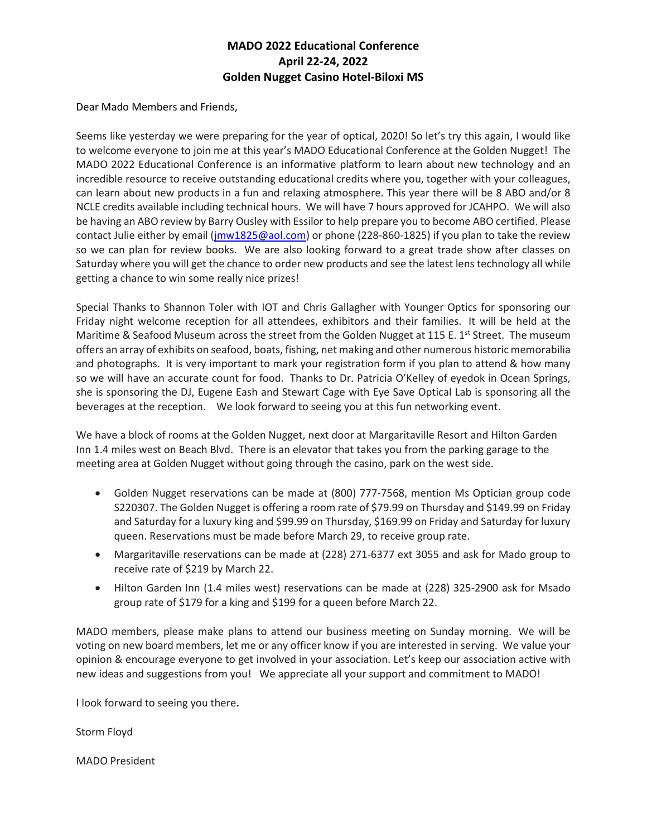## **MADO 2022 Educational Conference April 22-24, 2022 Golden Nugget Casino Hotel-Biloxi MS**

Dear Mado Members and Friends,

Seems like yesterday we were preparing for the year of optical, 2020! So let's try this again, I would like to welcome everyone to join me at this year's MADO Educational Conference at the Golden Nugget! The MADO 2022 Educational Conference is an informative platform to learn about new technology and an incredible resource to receive outstanding educational credits where you, together with your colleagues, can learn about new products in a fun and relaxing atmosphere. This year there will be 8 ABO and/or 8 NCLE credits available including technical hours. We will have 7 hours approved for JCAHPO. We will also be having an ABO review by Barry Ousley with Essilor to help prepare you to become ABO certified. Please contact Julie either by email [\(jmw1825@aol.com\)](mailto:jmw1825@aol.com) or phone (228-860-1825) if you plan to take the review so we can plan for review books. We are also looking forward to a great trade show after classes on Saturday where you will get the chance to order new products and see the latest lens technology all while getting a chance to win some really nice prizes!

Special Thanks to Shannon Toler with IOT and Chris Gallagher with Younger Optics for sponsoring our Friday night welcome reception for all attendees, exhibitors and their families. It will be held at the Maritime & Seafood Museum across the street from the Golden Nugget at 115 E. 1st Street. The museum offers an array of exhibits on seafood, boats, fishing, net making and other numerous historic memorabilia and photographs. It is very important to mark your registration form if you plan to attend & how many so we will have an accurate count for food. Thanks to Dr. Patricia O'Kelley of eyedok in Ocean Springs, she is sponsoring the DJ, Eugene Eash and Stewart Cage with Eye Save Optical Lab is sponsoring all the beverages at the reception. We look forward to seeing you at this fun networking event.

We have a block of rooms at the Golden Nugget, next door at Margaritaville Resort and Hilton Garden Inn 1.4 miles west on Beach Blvd. There is an elevator that takes you from the parking garage to the meeting area at Golden Nugget without going through the casino, park on the west side.

- Golden Nugget reservations can be made at (800) 777-7568, mention Ms Optician group code S220307. The Golden Nugget is offering a room rate of \$79.99 on Thursday and \$149.99 on Friday and Saturday for a luxury king and \$99.99 on Thursday, \$169.99 on Friday and Saturday for luxury queen. Reservations must be made before March 29, to receive group rate.
- Margaritaville reservations can be made at (228) 271-6377 ext 3055 and ask for Mado group to receive rate of \$219 by March 22.
- Hilton Garden Inn (1.4 miles west) reservations can be made at (228) 325-2900 ask for Msado group rate of \$179 for a king and \$199 for a queen before March 22.

MADO members, please make plans to attend our business meeting on Sunday morning. We will be voting on new board members, let me or any officer know if you are interested in serving. We value your opinion & encourage everyone to get involved in your association. Let's keep our association active with new ideas and suggestions from you! We appreciate all your support and commitment to MADO!

I look forward to seeing you there**.** 

Storm Floyd

MADO President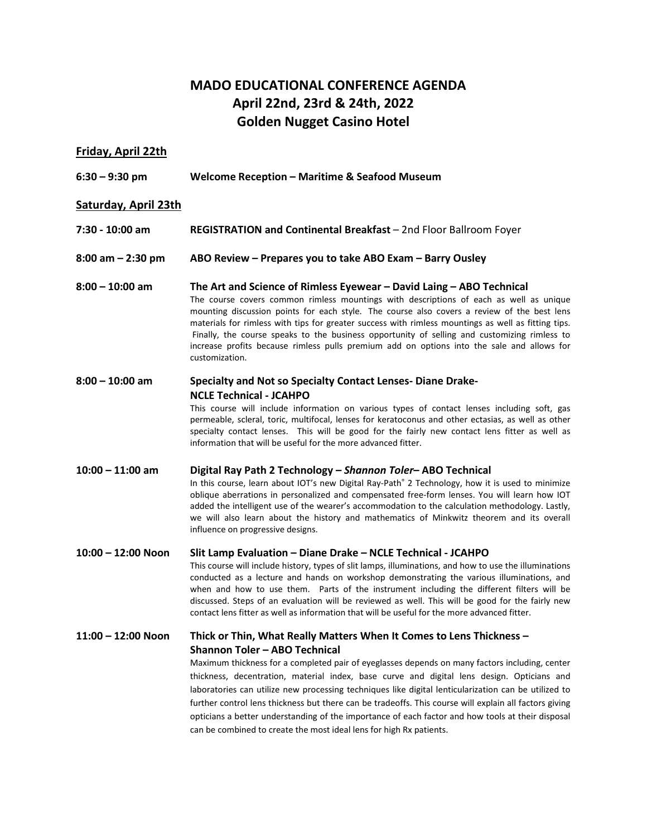# **MADO EDUCATIONAL CONFERENCE AGENDA April 22nd, 23rd & 24th, 2022 Golden Nugget Casino Hotel**

## **Friday, April 22th**

**6:30 – 9:30 pm Welcome Reception – Maritime & Seafood Museum**

### **Saturday, April 23th**

- **7:30 10:00 am REGISTRATION and Continental Breakfast** 2nd Floor Ballroom Foyer
- **8:00 am 2:30 pm ABO Review Prepares you to take ABO Exam Barry Ousley**
- **8:00 10:00 am The Art and Science of Rimless Eyewear David Laing ABO Technical** The course covers common rimless mountings with descriptions of each as well as unique mounting discussion points for each style. The course also covers a review of the best lens materials for rimless with tips for greater success with rimless mountings as well as fitting tips. Finally, the course speaks to the business opportunity of selling and customizing rimless to increase profits because rimless pulls premium add on options into the sale and allows for customization.

## **8:00 – 10:00 am Specialty and Not so Specialty Contact Lenses- Diane Drake-NCLE Technical - JCAHPO**

This course will include information on various types of contact lenses including soft, gas permeable, scleral, toric, multifocal, lenses for keratoconus and other ectasias, as well as other specialty contact lenses. This will be good for the fairly new contact lens fitter as well as information that will be useful for the more advanced fitter.

### **10:00 – 11:00 am Digital Ray Path 2 Technology –** *Shannon Toler***– ABO Technical**

In this course, learn about IOT's new Digital Ray-Path® 2 Technology, how it is used to minimize oblique aberrations in personalized and compensated free-form lenses. You will learn how IOT added the intelligent use of the wearer's accommodation to the calculation methodology. Lastly, we will also learn about the history and mathematics of Minkwitz theorem and its overall influence on progressive designs.

### **10:00 – 12:00 Noon Slit Lamp Evaluation – Diane Drake – NCLE Technical - JCAHPO**

This course will include history, types of slit lamps, illuminations, and how to use the illuminations conducted as a lecture and hands on workshop demonstrating the various illuminations, and when and how to use them. Parts of the instrument including the different filters will be discussed. Steps of an evaluation will be reviewed as well. This will be good for the fairly new contact lens fitter as well as information that will be useful for the more advanced fitter.

## **11:00 – 12:00 Noon Thick or Thin, What Really Matters When It Comes to Lens Thickness – Shannon Toler – ABO Technical**

Maximum thickness for a completed pair of eyeglasses depends on many factors including, center thickness, decentration, material index, base curve and digital lens design. Opticians and laboratories can utilize new processing techniques like digital lenticularization can be utilized to further control lens thickness but there can be tradeoffs. This course will explain all factors giving opticians a better understanding of the importance of each factor and how tools at their disposal can be combined to create the most ideal lens for high Rx patients.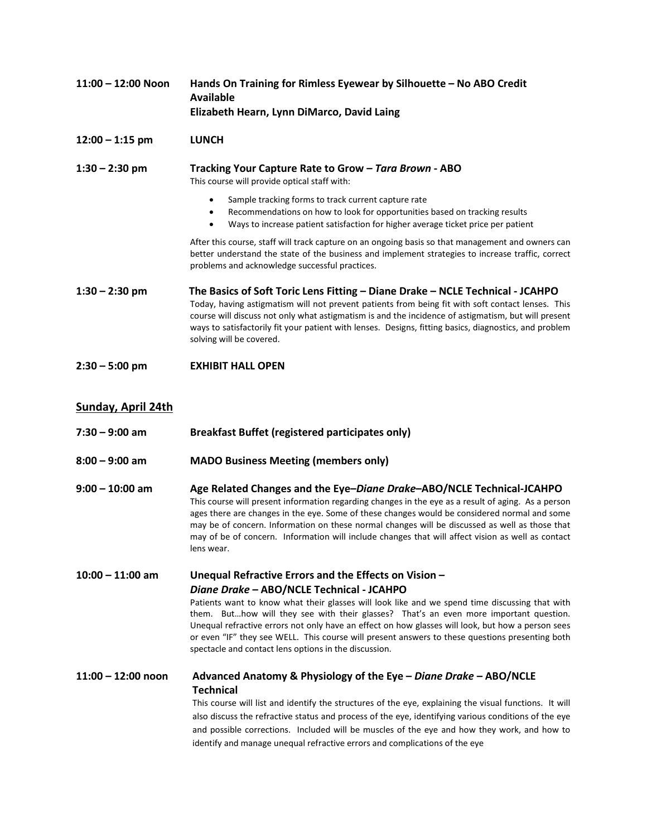| $11:00 - 12:00$ Noon      | Hands On Training for Rimless Eyewear by Silhouette - No ABO Credit<br><b>Available</b><br>Elizabeth Hearn, Lynn DiMarco, David Laing                                                                                                                                                                                                                                                                                                                                                                                                                           |  |  |
|---------------------------|-----------------------------------------------------------------------------------------------------------------------------------------------------------------------------------------------------------------------------------------------------------------------------------------------------------------------------------------------------------------------------------------------------------------------------------------------------------------------------------------------------------------------------------------------------------------|--|--|
| $12:00 - 1:15$ pm         | <b>LUNCH</b>                                                                                                                                                                                                                                                                                                                                                                                                                                                                                                                                                    |  |  |
| $1:30 - 2:30$ pm          | Tracking Your Capture Rate to Grow - Tara Brown - ABO<br>This course will provide optical staff with:                                                                                                                                                                                                                                                                                                                                                                                                                                                           |  |  |
|                           | Sample tracking forms to track current capture rate<br>$\bullet$<br>Recommendations on how to look for opportunities based on tracking results<br>٠<br>Ways to increase patient satisfaction for higher average ticket price per patient<br>$\bullet$                                                                                                                                                                                                                                                                                                           |  |  |
|                           | After this course, staff will track capture on an ongoing basis so that management and owners can<br>better understand the state of the business and implement strategies to increase traffic, correct<br>problems and acknowledge successful practices.                                                                                                                                                                                                                                                                                                        |  |  |
| $1:30 - 2:30$ pm          | The Basics of Soft Toric Lens Fitting - Diane Drake - NCLE Technical - JCAHPO<br>Today, having astigmatism will not prevent patients from being fit with soft contact lenses. This<br>course will discuss not only what astigmatism is and the incidence of astigmatism, but will present<br>ways to satisfactorily fit your patient with lenses. Designs, fitting basics, diagnostics, and problem<br>solving will be covered.                                                                                                                                 |  |  |
| $2:30 - 5:00$ pm          | <b>EXHIBIT HALL OPEN</b>                                                                                                                                                                                                                                                                                                                                                                                                                                                                                                                                        |  |  |
| <b>Sunday, April 24th</b> |                                                                                                                                                                                                                                                                                                                                                                                                                                                                                                                                                                 |  |  |
| $7:30 - 9:00$ am          | <b>Breakfast Buffet (registered participates only)</b>                                                                                                                                                                                                                                                                                                                                                                                                                                                                                                          |  |  |
| $8:00 - 9:00$ am          | <b>MADO Business Meeting (members only)</b>                                                                                                                                                                                                                                                                                                                                                                                                                                                                                                                     |  |  |
| $9:00 - 10:00$ am         | Age Related Changes and the Eye-Diane Drake-ABO/NCLE Technical-JCAHPO<br>This course will present information regarding changes in the eye as a result of aging. As a person<br>ages there are changes in the eye. Some of these changes would be considered normal and some<br>may be of concern. Information on these normal changes will be discussed as well as those that<br>may of be of concern. Information will include changes that will affect vision as well as contact<br>lens wear.                                                               |  |  |
| $10:00 - 11:00$ am        | Unequal Refractive Errors and the Effects on Vision -<br>Diane Drake - ABO/NCLE Technical - JCAHPO<br>Patients want to know what their glasses will look like and we spend time discussing that with<br>them. Buthow will they see with their glasses? That's an even more important question.<br>Unequal refractive errors not only have an effect on how glasses will look, but how a person sees<br>or even "IF" they see WELL. This course will present answers to these questions presenting both<br>spectacle and contact lens options in the discussion. |  |  |
| $11:00 - 12:00$ noon      | Advanced Anatomy & Physiology of the Eye - Diane Drake - ABO/NCLE<br><b>Technical</b><br>This course will list and identify the structures of the eye, explaining the visual functions. It will<br>also discuss the refractive status and process of the eye, identifying various conditions of the eye<br>and possible corrections. Included will be muscles of the eye and how they work, and how to                                                                                                                                                          |  |  |

identify and manage unequal refractive errors and complications of the eye